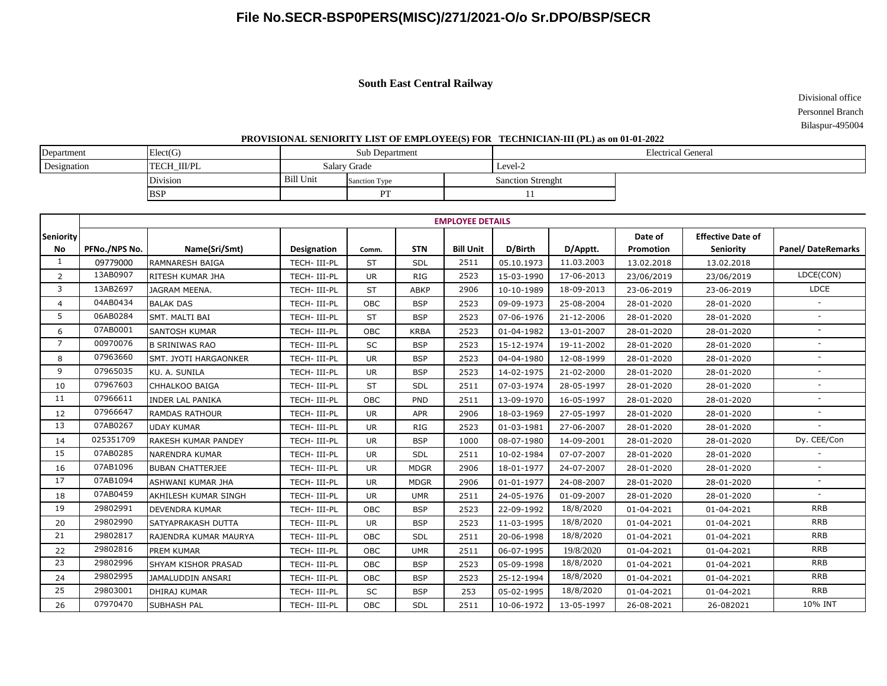# **File No.SECR-BSP0PERS(MISC)/271/2021-O/o Sr.DPO/BSP/SECR**

### **South East Central Railway**

 Divisional office Personnel Branch Bilaspur-495004

#### **PROVISIONAL SENIORITY LIST OF EMPLOYEE(S) FOR TECHNICIAN-III (PL) as on 01-01-2022**

| Department  | Elect(G)           |           | Sub Department | <b>Electrical General</b> |  |  |  |
|-------------|--------------------|-----------|----------------|---------------------------|--|--|--|
| Designation | <b>TECH III/PL</b> |           | Salary Grade   | Level-2                   |  |  |  |
|             | Division           | Bill Unit | Sanction Type  | <b>Sanction Strenght</b>  |  |  |  |
|             | <b>BSP</b>         |           | DТ             |                           |  |  |  |

|                | <b>EMPLOYEE DETAILS</b> |                            |                    |            |             |                  |            |            |            |                          |                          |
|----------------|-------------------------|----------------------------|--------------------|------------|-------------|------------------|------------|------------|------------|--------------------------|--------------------------|
| Seniority      |                         |                            |                    |            |             |                  |            |            | Date of    | <b>Effective Date of</b> |                          |
| No             | PFNo./NPS No.           | Name(Sri/Smt)              | <b>Designation</b> | Comm.      | <b>STN</b>  | <b>Bill Unit</b> | D/Birth    | D/Apptt.   | Promotion  | Seniority                | <b>Panel/DateRemarks</b> |
|                | 09779000                | <b>RAMNARESH BAIGA</b>     | TECH- III-PL       | <b>ST</b>  | SDL         | 2511             | 05.10.1973 | 11.03.2003 | 13.02.2018 | 13.02.2018               |                          |
| $\overline{2}$ | 13AB0907                | RITESH KUMAR JHA           | TECH-III-PL        | <b>UR</b>  | <b>RIG</b>  | 2523             | 15-03-1990 | 17-06-2013 | 23/06/2019 | 23/06/2019               | LDCE(CON)                |
| 3              | 13AB2697                | <b>JAGRAM MEENA.</b>       | TECH-III-PL        | <b>ST</b>  | <b>ABKP</b> | 2906             | 10-10-1989 | 18-09-2013 | 23-06-2019 | 23-06-2019               | <b>LDCE</b>              |
| 4              | 04AB0434                | <b>BALAK DAS</b>           | TECH- III-PL       | OBC        | <b>BSP</b>  | 2523             | 09-09-1973 | 25-08-2004 | 28-01-2020 | 28-01-2020               | $\sim$                   |
| 5              | 06AB0284                | SMT. MALTI BAI             | TECH-III-PL        | <b>ST</b>  | <b>BSP</b>  | 2523             | 07-06-1976 | 21-12-2006 | 28-01-2020 | 28-01-2020               | $\overline{\phantom{a}}$ |
| 6              | 07AB0001                | <b>SANTOSH KUMAR</b>       | TECH- III-PL       | OBC        | <b>KRBA</b> | 2523             | 01-04-1982 | 13-01-2007 | 28-01-2020 | 28-01-2020               |                          |
| $\overline{7}$ | 00970076                | <b>B SRINIWAS RAO</b>      | TECH-III-PL        | SC         | <b>BSP</b>  | 2523             | 15-12-1974 | 19-11-2002 | 28-01-2020 | 28-01-2020               | $\overline{\phantom{a}}$ |
| 8              | 07963660                | SMT. JYOTI HARGAONKER      | TECH-III-PL        | <b>UR</b>  | <b>BSP</b>  | 2523             | 04-04-1980 | 12-08-1999 | 28-01-2020 | 28-01-2020               |                          |
| 9              | 07965035                | KU. A. SUNILA              | TECH-III-PL        | <b>UR</b>  | <b>BSP</b>  | 2523             | 14-02-1975 | 21-02-2000 | 28-01-2020 | 28-01-2020               | $\overline{\phantom{a}}$ |
| 10             | 07967603                | CHHALKOO BAIGA             | TECH- III-PL       | <b>ST</b>  | <b>SDL</b>  | 2511             | 07-03-1974 | 28-05-1997 | 28-01-2020 | 28-01-2020               |                          |
| 11             | 07966611                | <b>INDER LAL PANIKA</b>    | TECH-III-PL        | OBC        | PND         | 2511             | 13-09-1970 | 16-05-1997 | 28-01-2020 | 28-01-2020               |                          |
| 12             | 07966647                | <b>RAMDAS RATHOUR</b>      | TECH-III-PL        | <b>UR</b>  | <b>APR</b>  | 2906             | 18-03-1969 | 27-05-1997 | 28-01-2020 | 28-01-2020               | $\overline{\phantom{a}}$ |
| 13             | 07AB0267                | <b>UDAY KUMAR</b>          | TECH- III-PL       | <b>UR</b>  | <b>RIG</b>  | 2523             | 01-03-1981 | 27-06-2007 | 28-01-2020 | 28-01-2020               |                          |
| 14             | 025351709               | RAKESH KUMAR PANDEY        | TECH-III-PL        | <b>UR</b>  | <b>BSP</b>  | 1000             | 08-07-1980 | 14-09-2001 | 28-01-2020 | 28-01-2020               | Dy. CEE/Con              |
| 15             | 07AB0285                | <b>NARENDRA KUMAR</b>      | TECH- III-PL       | <b>UR</b>  | SDL         | 2511             | 10-02-1984 | 07-07-2007 | 28-01-2020 | 28-01-2020               |                          |
| 16             | 07AB1096                | <b>BUBAN CHATTERJEE</b>    | TECH-III-PL        | <b>UR</b>  | <b>MDGR</b> | 2906             | 18-01-1977 | 24-07-2007 | 28-01-2020 | 28-01-2020               |                          |
| 17             | 07AB1094                | <b>ASHWANI KUMAR JHA</b>   | TECH-III-PL        | <b>UR</b>  | <b>MDGR</b> | 2906             | 01-01-1977 | 24-08-2007 | 28-01-2020 | 28-01-2020               | $\overline{\phantom{a}}$ |
| 18             | 07AB0459                | AKHILESH KUMAR SINGH       | TECH-III-PL        | <b>UR</b>  | <b>UMR</b>  | 2511             | 24-05-1976 | 01-09-2007 | 28-01-2020 | 28-01-2020               | $\overline{\phantom{a}}$ |
| 19             | 29802991                | <b>DEVENDRA KUMAR</b>      | TECH- III-PL       | OBC        | <b>BSP</b>  | 2523             | 22-09-1992 | 18/8/2020  | 01-04-2021 | 01-04-2021               | <b>RRB</b>               |
| 20             | 29802990                | SATYAPRAKASH DUTTA         | TECH- III-PL       | <b>UR</b>  | <b>BSP</b>  | 2523             | 11-03-1995 | 18/8/2020  | 01-04-2021 | 01-04-2021               | <b>RRB</b>               |
| 21             | 29802817                | RAJENDRA KUMAR MAURYA      | TECH-III-PL        | <b>OBC</b> | <b>SDL</b>  | 2511             | 20-06-1998 | 18/8/2020  | 01-04-2021 | 01-04-2021               | <b>RRB</b>               |
| 22             | 29802816                | PREM KUMAR                 | TECH- III-PL       | OBC        | <b>UMR</b>  | 2511             | 06-07-1995 | 19/8/2020  | 01-04-2021 | 01-04-2021               | <b>RRB</b>               |
| 23             | 29802996                | <b>SHYAM KISHOR PRASAD</b> | TECH-III-PL        | OBC        | <b>BSP</b>  | 2523             | 05-09-1998 | 18/8/2020  | 01-04-2021 | 01-04-2021               | <b>RRB</b>               |
| 24             | 29802995                | JAMALUDDIN ANSARI          | TECH-III-PL        | OBC        | <b>BSP</b>  | 2523             | 25-12-1994 | 18/8/2020  | 01-04-2021 | 01-04-2021               | <b>RRB</b>               |
| 25             | 29803001                | <b>DHIRAJ KUMAR</b>        | TECH- III-PL       | SC         | <b>BSP</b>  | 253              | 05-02-1995 | 18/8/2020  | 01-04-2021 | 01-04-2021               | <b>RRB</b>               |
| 26             | 07970470                | <b>SUBHASH PAL</b>         | TECH- III-PL       | OBC        | SDL         | 2511             | 10-06-1972 | 13-05-1997 | 26-08-2021 | 26-082021                | 10% INT                  |